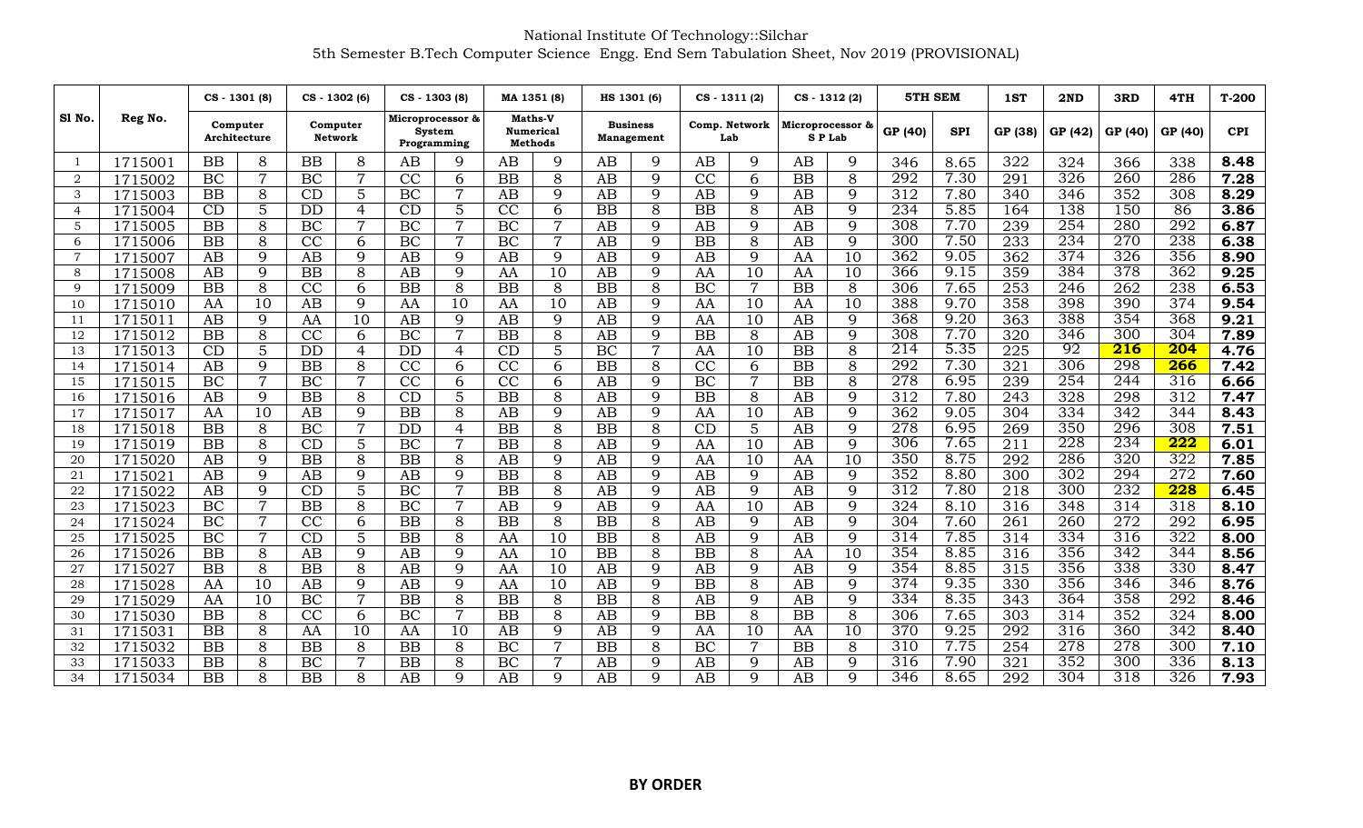## National Institute Of Technology::Silchar 5th Semester B.Tech Computer Science Engg. End Sem Tabulation Sheet, Nov 2019 (PROVISIONAL)

|                |         | CS - 1301 (8)            |                 | CS-1302 (6)         |                |                                           | CS - 1303 (8)   | MA 1351 (8)                                   |                | HS 1301 (6)                          |                |                 | $CS - 1311(2)$       |                 | CS - 1312 (2)              |                  | 5TH SEM    | 1ST              | 2ND     | 3RD              | 4TH              | $T-200$    |
|----------------|---------|--------------------------|-----------------|---------------------|----------------|-------------------------------------------|-----------------|-----------------------------------------------|----------------|--------------------------------------|----------------|-----------------|----------------------|-----------------|----------------------------|------------------|------------|------------------|---------|------------------|------------------|------------|
| Sl No.         | Reg No. | Computer<br>Architecture |                 | Computer<br>Network |                | Microprocessor &<br>System<br>Programming |                 | Maths-V<br><b>Numerical</b><br><b>Methods</b> |                | <b>Business</b><br><b>Management</b> |                |                 | Comp. Network<br>Lab |                 | Microprocessor &<br>SP Lab |                  | <b>SPI</b> | GP (38)          | GP (42) | GP (40)          | GP (40)          | <b>CPI</b> |
|                | 1715001 | BB                       | 8               | <b>BB</b>           | 8              | AB                                        | 9               | AB                                            | 9              | AB                                   | 9              | AB              | 9                    | AB              | 9                          | 346              | 8.65       | 322              | 324     | 366              | 338              | 8.48       |
| $\overline{2}$ | 1715002 | BC                       | 7               | BC                  | $\overline{7}$ | CC                                        | 6               | BB                                            | 8              | AB                                   | 9              | $\overline{CC}$ | 6                    | <b>BB</b>       | 8                          | 292              | 7.30       | 291              | 326     | $\overline{260}$ | 286              | 7.28       |
| 3              | 1715003 | BB                       | $\overline{8}$  | CD                  | 5              | <b>BC</b>                                 | $\overline{7}$  | AB                                            | 9              | AB                                   | 9              | AB              | 9                    | AB              | 9                          | $\overline{312}$ | 7.80       | $\overline{340}$ | 346     | 352              | 308              | 8.29       |
| $\overline{4}$ | 1715004 | CD                       | $\overline{5}$  | <b>DD</b>           | $\overline{4}$ | CD                                        | $\overline{5}$  | $\overline{CC}$                               | 6              | <b>BB</b>                            | $\overline{8}$ | <b>BB</b>       | 8                    | AB              | $\mathbf{Q}$               | 234              | 5.85       | 164              | 138     | 150              | 86               | 3.86       |
| 5              | 1715005 | BB                       | $\overline{8}$  | $\overline{BC}$     | $\overline{7}$ | BC                                        | $\overline{7}$  | BC                                            | $\overline{7}$ | AB                                   | 9              | AB              | 9                    | AB              | 9                          | 308              | 7.70       | 239              | 254     | 280              | 292              | 6.87       |
| 6              | 1715006 | $\overline{BB}$          | $\overline{8}$  | $\overline{CC}$     | 6              | BC                                        | $\overline{7}$  | BC                                            | $\overline{7}$ | $\overline{AB}$                      | $\overline{9}$ | $\overline{BB}$ | 8                    | $\overline{AB}$ | 9                          | 300              | 7.50       | 233              | 234     | 270              | 238              | 6.38       |
| $\overline{7}$ | 1715007 | AB                       | 9               | AB                  | 9              | AB                                        | 9               | AB                                            | 9              | $\overline{AB}$                      | $\overline{9}$ | AB              | 9                    | AA              | $\overline{10}$            | 362              | 9.05       | $\overline{362}$ | 374     | 326              | 356              | 8.90       |
| 8              | 1715008 | AB                       | 9               | <b>BB</b>           | 8              | AB                                        | 9               | AA                                            | 10             | AB                                   | 9              | AA              | 10                   | AA              | 10                         | 366              | 9.15       | 359              | 384     | 378              | 362              | 9.25       |
| 9              | 1715009 | <b>BB</b>                | 8               | CC                  | 6              | $\overline{BB}$                           | 8               | $\overline{BB}$                               | 8              | $\overline{BB}$                      | 8              | BC              | $\overline{7}$       | $\overline{BB}$ | 8                          | 306              | 7.65       | $\overline{253}$ | 246     | $\overline{262}$ | 238              | 6.53       |
| 10             | 1715010 | AA                       | $\overline{10}$ | AB                  | 9              | AA                                        | 10              | AA                                            | 10             | AB                                   | 9              | AA              | 10                   | AA              | 10                         | 388              | 9.70       | 358              | 398     | 390              | 374              | 9.54       |
| 11             | 1715011 | AB                       | 9               | AA                  | 10             | AB                                        | 9               | AB                                            | 9              | AB                                   | 9              | AA              | 10                   | AB              | 9                          | 368              | 9.20       | 363              | 388     | 354              | 368              | 9.21       |
| 12             | 1715012 | <b>BB</b>                | 8               | CC                  | 6              | <b>BC</b>                                 | $\overline{7}$  | BB                                            | 8              | AB                                   | 9              | <b>BB</b>       | 8                    | AB              | 9                          | 308              | 7.70       | 320              | 346     | 300              | 304              | 7.89       |
| 13             | 1715013 | CD                       | $\overline{5}$  | DD                  | $\overline{4}$ | <b>DD</b>                                 | $\overline{4}$  | $\overline{CD}$                               | 5              | BC                                   | $\overline{7}$ | AA              | 10                   | $\overline{BB}$ | 8                          | 214              | 5.35       | $\overline{225}$ | 92      | $\overline{216}$ | 204              | 4.76       |
| 14             | 1715014 | AB                       | 9               | $\overline{BB}$     | 8              | $\overline{CC}$                           | 6               | $\overline{CC}$                               | 6              | $\overline{BB}$                      | $\overline{8}$ | $\overline{CC}$ | 6                    | $\overline{BB}$ | 8                          | 292              | 7.30       | 321              | 306     | 298              | 266              | 7.42       |
| 15             | 1715015 | BC                       | $\overline{7}$  | BC                  | $\overline{7}$ | CC                                        | 6               | CC                                            | 6              | AB                                   | 9              | BC              | $\overline{7}$       | <b>BB</b>       | 8                          | 278              | 6.95       | 239              | 254     | $\overline{244}$ | 316              | 6.66       |
| 16             | 1715016 | AB                       | 9               | $\overline{BB}$     | 8              | CD                                        | $\overline{5}$  | $\overline{BB}$                               | 8              | $\overline{AB}$                      | 9              | $\overline{BB}$ | 8                    | $\overline{AB}$ | 9                          | 312              | 7.80       | $\overline{243}$ | 328     | 298              | 312              | 7.47       |
| 17             | 1715017 | AA                       | $\overline{10}$ | AB                  | 9              | BB                                        | 8               | AB                                            | 9              | AB                                   | 9              | AA              | 10                   | AB              | 9                          | 362              | 9.05       | 304              | 334     | 342              | 344              | 8.43       |
| 18             | 1715018 | BB                       | 8               | BC                  | $\overline{7}$ | <b>DD</b>                                 | 4               | <b>BB</b>                                     | 8              | BB                                   | 8              | CD              | 5                    | AB              | 9                          | 278              | 6.95       | $\overline{269}$ | 350     | $\overline{296}$ | 308              | 7.51       |
| 19             | 1715019 | BB                       | 8               | CD                  | 5              | BC                                        | $\overline{7}$  | <b>BB</b>                                     | 8              | AB                                   | 9              | AA              | 10                   | AB              | 9                          | 306              | 7.65       | 211              | 228     | 234              | 222              | 6.01       |
| 20             | 1715020 | $\overline{AB}$          | $\overline{9}$  | $\overline{BB}$     | $\overline{8}$ | $\overline{BB}$                           | $\overline{8}$  | $\overline{AB}$                               | 9              | $\overline{AB}$                      | $\overline{9}$ | AA              | $\overline{10}$      | AA              | $\overline{10}$            | 350              | 8.75       | 292              | 286     | 320              | 322              | 7.85       |
| 21             | 1715021 | $\overline{AB}$          | $\overline{9}$  | AB                  | 9              | $\overline{AB}$                           | 9               | $\overline{BB}$                               | $\overline{8}$ | $\overline{AB}$                      | $\overline{9}$ | AB              | 9                    | $\overline{AB}$ | 9                          | 352              | 8.80       | 300              | 302     | 294              | 272              | 7.60       |
| 22             | 1715022 | $\overline{AB}$          | $\overline{9}$  | CD                  | $\overline{5}$ | BC                                        | $\overline{7}$  | $\overline{BB}$                               | 8              | $\overline{AB}$                      | $\overline{9}$ | $\overline{AB}$ | $\overline{9}$       | $\overline{AB}$ | 9                          | 312              | 7.80       | 218              | 300     | 232              | 228              | 6.45       |
| 23             | 1715023 | <b>BC</b>                | $\overline{7}$  | <b>BB</b>           | 8              | BC                                        | $\overline{7}$  | AB                                            | 9              | AB                                   | 9              | AA              | 10                   | AB              | $\mathbf Q$                | 324              | 8.10       | 316              | 348     | 314              | 318              | 8.10       |
| 24             | 1715024 | BC                       | $\overline{7}$  | CC                  | 6              | <b>BB</b>                                 | 8               | <b>BB</b>                                     | 8              | <b>BB</b>                            | 8              | AB              | 9                    | AB              | 9                          | 304              | 7.60       | 261              | 260     | 272              | 292              | 6.95       |
| 25             | 1715025 | BC                       | $\overline{7}$  | CD                  | 5              | BB                                        | 8               | AA                                            | 10             | BB                                   | 8              | AB              | 9                    | AB              | 9                          | 314              | 7.85       | 314              | 334     | 316              | 322              | 8.00       |
| 26             | 1715026 | BB                       | 8               | AB                  | 9              | AB                                        | 9               | AA                                            | 10             | BB                                   | 8              | <b>BB</b>       | 8                    | AA              | 10                         | 354              | 8.85       | 316              | 356     | 342              | 344              | 8.56       |
| 27             | 1715027 | <b>BB</b>                | 8               | <b>BB</b>           | 8              | AB                                        | 9               | AA                                            | 10             | AB                                   | 9              | AB              | 9                    | AB              | 9                          | 354              | 8.85       | $\overline{315}$ | 356     | 338              | 330              | 8.47       |
| 28             | 1715028 | AA                       | $\overline{10}$ | AB                  | 9              | AB                                        | 9               | AA                                            | 10             | $\overline{AB}$                      | $\overline{9}$ | $\overline{BB}$ | 8                    | $\overline{AB}$ | 9                          | 374              | 9.35       | 330              | 356     | 346              | 346              | 8.76       |
| 29             | 1715029 | AA                       | $\overline{10}$ | BC                  | $\overline{7}$ | $\overline{BB}$                           | $\overline{8}$  | $\overline{BB}$                               | $\overline{8}$ | $\overline{BB}$                      | $\overline{8}$ | $\overline{AB}$ | 9                    | $\overline{AB}$ | 9                          | 334              | 8.35       | 343              | 364     | 358              | 292              | 8.46       |
| 30             | 1715030 | <b>BB</b>                | 8               | CC                  | 6              | <b>BC</b>                                 | $\overline{7}$  | <b>BB</b>                                     | 8              | AB                                   | 9              | <b>BB</b>       | 8                    | <b>BB</b>       | 8                          | 306              | 7.65       | $\overline{303}$ | 314     | 352              | 324              | 8.00       |
| 31             | 1715031 | BB                       | 8               | AA                  | 10             | AA                                        | $\overline{10}$ | AB                                            | 9              | AB                                   | 9              | AA              | 10                   | AA              | 10                         | 370              | 9.25       | 292              | 316     | 360              | $\overline{342}$ | 8.40       |
| 32             | 1715032 | BB                       | $\overline{8}$  | BB                  | 8              | BB                                        | 8               | BC                                            | $\overline{7}$ | BB                                   | 8              | BC              | $\overline{7}$       | <b>BB</b>       | 8                          | 310              | 7.75       | 254              | 278     | $\overline{278}$ | 300              | 7.10       |
| 33             | 1715033 | BB                       | 8               | BC                  | $\overline{7}$ | BB                                        | 8               | BC                                            | $\overline{7}$ | AB                                   | 9              | AB              | 9                    | AB              | 9                          | 316              | 7.90       | 321              | 352     | 300              | 336              | 8.13       |
| 34             | 1715034 | BB                       | 8               | BB                  | 8              | AB                                        | $\mathbf Q$     | AB                                            | 9              | AB                                   | 9              | AB              | $\mathbf Q$          | AB              | $\mathbf Q$                | 346              | 8.65       | 292              | 304     | 318              | 326              | 7.93       |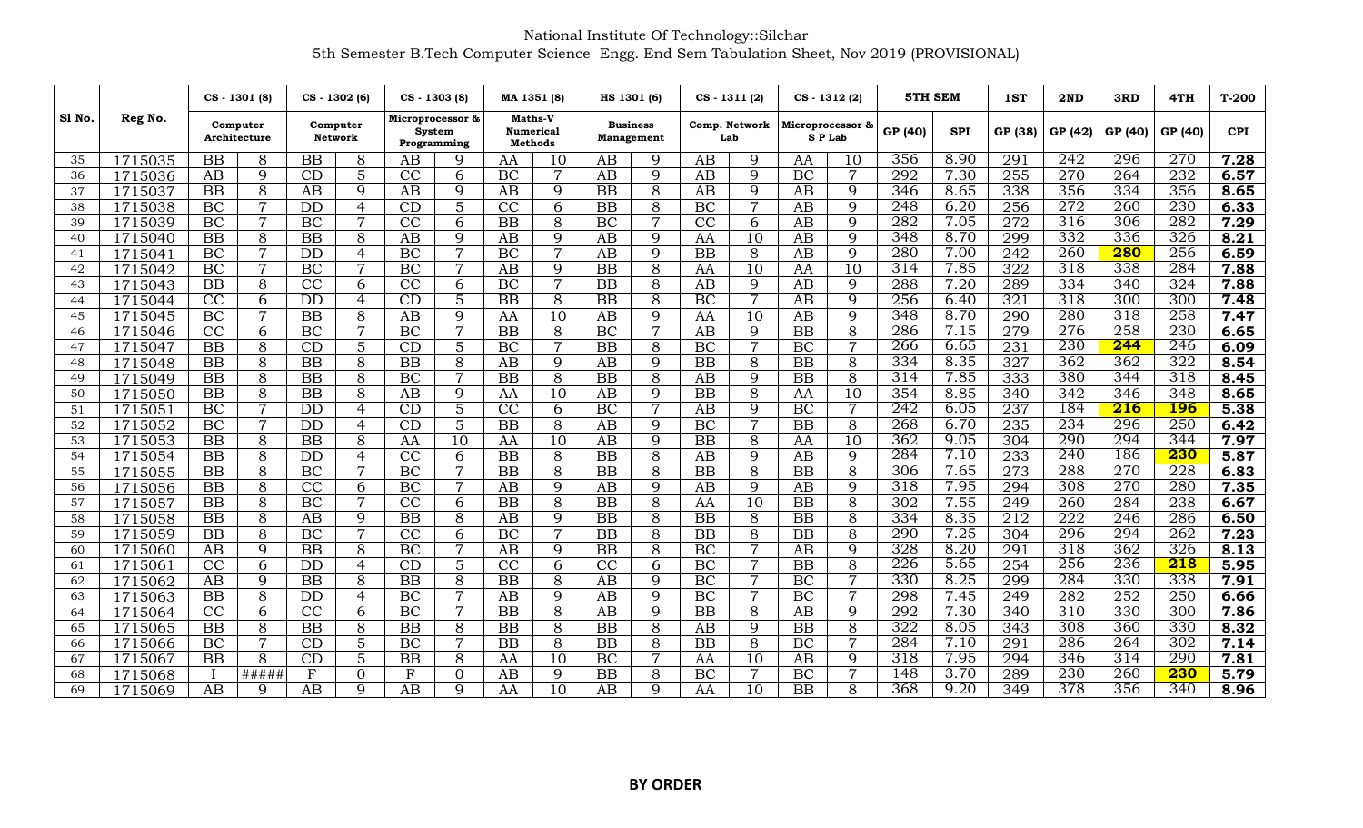## National Institute Of Technology::Silchar 5th Semester B.Tech Computer Science Engg. End Sem Tabulation Sheet, Nov 2019 (PROVISIONAL)

|        |         |                 | CS - 1301 (8)            |                 | CS - 1302 (6)              |                 | CS - 1303 (8)                                    | MA 1351 (8)                                          |                 |                 | HS 1301 (6)                          | $CS - 1311(2)$  |                |                 | $CS - 1312(2)$                        | 5TH SEM |            | 1ST              | 2ND     | 3RD              | 4TH<br>GP (40)<br>270<br>232<br>356<br>230<br>282<br>326<br>256<br>284<br>324<br>300<br>258 | $T-200$           |
|--------|---------|-----------------|--------------------------|-----------------|----------------------------|-----------------|--------------------------------------------------|------------------------------------------------------|-----------------|-----------------|--------------------------------------|-----------------|----------------|-----------------|---------------------------------------|---------|------------|------------------|---------|------------------|---------------------------------------------------------------------------------------------|-------------------|
| Sl No. | Reg No. |                 | Computer<br>Architecture |                 | Computer<br><b>Network</b> |                 | Microprocessor &<br><b>System</b><br>Programming | <b>Maths-V</b><br><b>Numerical</b><br><b>Methods</b> |                 |                 | <b>Business</b><br><b>Management</b> | Lab             | Comp. Network  |                 | Microprocessor &<br>GP (40)<br>SP Lab |         | <b>SPI</b> | GP (38)          | GP (42) | GP (40)          |                                                                                             | <b>CPI</b>        |
| 35     | 1715035 | BB              | 8                        | <b>BB</b>       | 8                          | AB              | 9                                                | AA                                                   | 10              | AB              | 9                                    | AB              | 9              | AA              | 10                                    | 356     | 8.90       | 291              | 242     | 296              |                                                                                             | 7.28              |
| 36     | 1715036 | AB              | $\overline{9}$           | CD              | $\overline{5}$             | CC              | 6                                                | BC                                                   | $\overline{7}$  | $\overline{AB}$ | $\overline{9}$                       | $\overline{AB}$ | $\overline{9}$ | BC              | $\overline{7}$                        | 292     | 7.30       | $\overline{255}$ | 270     | 264              |                                                                                             | 6.57              |
| 37     | 1715037 | BB              | 8                        | AB              | 9                          | AB              | 9                                                | AB                                                   | 9               | BB              | 8                                    | AB              | 9              | AB              | 9                                     | 346     | 8.65       | 338              | 356     | 334              |                                                                                             | 8.65              |
| 38     | 1715038 | <b>BC</b>       | $\overline{7}$           | <b>DD</b>       | 4                          | CD              | 5                                                | CC                                                   | 6               | <b>BB</b>       | 8                                    | BC              | $\overline{7}$ | AB              | 9                                     | 248     | 6.20       | 256              | 272     | 260              |                                                                                             | 6.33              |
| 39     | 1715039 | BC              | 7                        | BC              | $\overline{7}$             | $\overline{CC}$ | 6                                                | $\overline{BB}$                                      | 8               | BC              | $\overline{7}$                       | $\overline{CC}$ | 6              | $\overline{AB}$ | 9                                     | 282     | 7.05       | 272              | 316     | 306              |                                                                                             | 7.29              |
| 40     | 1715040 | BB              | 8                        | BB              | 8                          | AB              | 9                                                | AB                                                   | 9               | AB              | 9                                    | AA              | 10             | AB              | 9                                     | 348     | 8.70       | 299              | 332     | 336              |                                                                                             | 8.21              |
| 41     | 1715041 | BC              | $\overline{7}$           | $\overline{DD}$ | $\overline{4}$             | BC              | $\overline{7}$                                   | BC                                                   | $\overline{7}$  | $\overline{AB}$ | $\overline{9}$                       | $\overline{BB}$ | 8              | AB              | $\overline{9}$                        | 280     | 7.00       | 242              | 260     | 280              |                                                                                             | 6.59              |
| 42     | 1715042 | BC              | $\overline{7}$           | <b>BC</b>       | $\overline{7}$             | BC              | $\overline{7}$                                   | AB                                                   | 9               | <b>BB</b>       | 8                                    | AA              | 10             | AA              | 10                                    | 314     | 7.85       | 322              | 318     | 338              |                                                                                             | 7.88              |
| 43     | 1715043 | $\overline{BB}$ | $\overline{8}$           | $\overline{CC}$ | 6                          | $\overline{CC}$ | 6                                                | BC                                                   | $\overline{7}$  | $\overline{BB}$ | $\overline{8}$                       | $\overline{AB}$ | $\overline{9}$ | $\overline{AB}$ | 9                                     | 288     | 7.20       | 289              | 334     | 340              |                                                                                             | 7.88              |
| 44     | 1715044 | CC              | 6                        | <b>DD</b>       | $\overline{4}$             | CD              | 5                                                | <b>BB</b>                                            | 8               | <b>BB</b>       | 8                                    | $\overline{BC}$ | $\overline{7}$ | AB              | 9                                     | 256     | 6.40       | $\overline{321}$ | 318     | 300              |                                                                                             | 7.48              |
| 45     | 1715045 | BC              | $\overline{7}$           | BB              | 8                          | AB              | 9                                                | AA                                                   | 10              | AB              | 9                                    | AA              | 10             | AB              | 9                                     | 348     | 8.70       | 290              | 280     | 318              |                                                                                             | 7.47              |
| 46     | 1715046 | CC              | 6                        | <b>BC</b>       | 7                          | BC              | $\overline{7}$                                   | <b>BB</b>                                            | 8               | $\overline{BC}$ | $\overline{7}$                       | AB              | 9              | $\overline{BB}$ | 8                                     | 286     | 7.15       | $\overline{279}$ | 276     | 258              | 230                                                                                         | 6.65              |
| 47     | 1715047 | BB              | 8                        | CD              | 5                          | CD              | 5                                                | BC                                                   | $\overline{7}$  | $\overline{BB}$ | $\overline{8}$                       | BC              | $\overline{7}$ | $\overline{BC}$ | $\overline{7}$                        | 266     | 6.65       | $\overline{231}$ | 230     | 244              | 246                                                                                         | $\overline{6.09}$ |
| 48     | 1715048 | BB              | $\overline{8}$           | BB              | 8                          | BB              | 8                                                | AB                                                   | 9               | AB              | 9                                    | BB              | 8              | <b>BB</b>       | 8                                     | 334     | 8.35       | $\overline{327}$ | 362     | 362              | 322                                                                                         | 8.54              |
| 49     | 1715049 | <b>BB</b>       | 8                        | <b>BB</b>       | 8                          | BC              | $\overline{7}$                                   | <b>BB</b>                                            | 8               | BB              | 8                                    | AB              | 9              | <b>BB</b>       | 8                                     | 314     | 7.85       | 333              | 380     | 344              | 318                                                                                         | 8.45              |
| 50     | 1715050 | $\overline{BB}$ | $\overline{8}$           | $\overline{BB}$ | $\overline{8}$             | AB              | $\overline{9}$                                   | AA                                                   | $\overline{10}$ | $\overline{AB}$ | $\overline{9}$                       | $\overline{BB}$ | $\overline{8}$ | AA              | 10                                    | 354     | 8.85       | $\overline{340}$ | 342     | 346              | 348                                                                                         | 8.65              |
| 51     | 1715051 | BC              | 7                        | <b>DD</b>       | $\overline{4}$             | CD              | 5                                                | $\overline{CC}$                                      | 6               | $\overline{BC}$ | $\overline{7}$                       | AB              | 9              | $\overline{BC}$ | $\overline{7}$                        | 242     | 6.05       | 237              | 184     | $\overline{216}$ | <b>196</b>                                                                                  | 5.38              |
| 52     | 1715052 | BC              | $\overline{7}$           | <b>DD</b>       | $\overline{4}$             | $\overline{CD}$ | 5                                                | $\overline{BB}$                                      | 8               | $\overline{AB}$ | $\overline{9}$                       | BC              | $\overline{7}$ | $\overline{BB}$ | 8                                     | 268     | 6.70       | 235              | 234     | 296              | 250                                                                                         | 6.42              |
| 53     | 1715053 | BB              | 8                        | <b>BB</b>       | 8                          | AA              | 10                                               | AA                                                   | 10              | AB              | 9                                    | BB              | 8              | AA              | 10                                    | 362     | 9.05       | 304              | 290     | 294              | 344                                                                                         | 7.97              |
| 54     | 1715054 | BB              | $\overline{8}$           | DD              | $\overline{4}$             | CC              | 6                                                | $\overline{BB}$                                      | 8               | $\overline{BB}$ | 8                                    | $\overline{AB}$ | 9              | AB              | 9                                     | 284     | 7.10       | $\overline{233}$ | 240     | 186              | 230                                                                                         | 5.87              |
| 55     | 1715055 | BB              | 8                        | <b>BC</b>       | $\overline{7}$             | BC              | $\overline{7}$                                   | <b>BB</b>                                            | 8               | BB              | 8                                    | BB              | 8              | <b>BB</b>       | 8                                     | 306     | 7.65       | $\overline{273}$ | 288     | 270              | 228                                                                                         | 6.83              |
| 56     | 1715056 | <b>BB</b>       | 8                        | CC              | 6                          | BC              | $\overline{7}$                                   | AB                                                   | 9               | AB              | 9                                    | AB              | 9              | AB              | 9                                     | 318     | 7.95       | 294              | 308     | 270              | 280                                                                                         | 7.35              |
| 57     | 1715057 | BB              | $\overline{8}$           | BC              | $\overline{7}$             | CC              | 6                                                | $\overline{BB}$                                      | 8               | <b>BB</b>       | 8                                    | AA              | 10             | <b>BB</b>       | 8                                     | 302     | 7.55       | $\overline{249}$ | 260     | 284              | 238                                                                                         | 6.67              |
| 58     | 1715058 | BB              | $\overline{8}$           | AB              | 9                          | BB              | 8                                                | $\overline{AB}$                                      | 9               | $\overline{BB}$ | $\overline{8}$                       | $\overline{BB}$ | 8              | $\overline{BB}$ | 8                                     | 334     | 8.35       | 212              | 222     | 246              | 286                                                                                         | 6.50              |
| 59     | 1715059 | BB              | 8                        | BC              | $\overline{7}$             | CC              | 6                                                | BC                                                   | $\overline{7}$  | BB              | 8                                    | <b>BB</b>       | 8              | <b>BB</b>       | 8                                     | 290     | 7.25       | 304              | 296     | 294              | 262                                                                                         | 7.23              |
| 60     | 1715060 | AB              | 9                        | <b>BB</b>       | 8                          | <b>BC</b>       | $\overline{7}$                                   | AB                                                   | 9               | <b>BB</b>       | 8                                    | BC              | $\overline{7}$ | AB              | 9                                     | 328     | 8.20       | 291              | 318     | 362              | 326                                                                                         | 8.13              |
| 61     | 1715061 | $\overline{CC}$ | 6                        | $\overline{DD}$ | $\overline{4}$             | $\overline{CD}$ | $\overline{5}$                                   | $\overline{CC}$                                      | 6               | $\overline{CC}$ | 6                                    | BC              | $\overline{7}$ | $\overline{BB}$ | 8                                     | 226     | 5.65       | 254              | 256     | 236              | 218                                                                                         | 5.95              |
| 62     | 1715062 | AB              | 9                        | <b>BB</b>       | 8                          | BB              | 8                                                | <b>BB</b>                                            | 8               | AB              | 9                                    | BC              | $\overline{7}$ | BC              | $\overline{7}$                        | 330     | 8.25       | 299              | 284     | 330              | 338                                                                                         | 7.91              |
| 63     | 1715063 | BB              | $\overline{8}$           | <b>DD</b>       | $\overline{4}$             | BC              | $\overline{7}$                                   | $\overline{AB}$                                      | 9               | $\overline{AB}$ | 9                                    | BC              | $\overline{7}$ | $\overline{BC}$ | $\overline{7}$                        | 298     | 7.45       | $\sqrt{249}$     | 282     | 252              | 250                                                                                         | 6.66              |
| 64     | 1715064 | CC              | 6                        | CC              | 6                          | <b>BC</b>       | $\overline{7}$                                   | <b>BB</b>                                            | 8               | AB              | 9                                    | BB              | 8              | AB              | 9                                     | 292     | 7.30       | 340              | 310     | 330              | 300                                                                                         | 7.86              |
| 65     | 1715065 | BB              | 8                        | BB              | 8                          | BB              | 8                                                | $\overline{BB}$                                      | 8               | $\overline{BB}$ | $\overline{8}$                       | AB              | 9              | $\overline{BB}$ | 8                                     | 322     | 8.05       | $\overline{343}$ | 308     | 360              | 330                                                                                         | 8.32              |
| 66     | 1715066 | BC              | 7                        | CD              | 5                          | <b>BC</b>       | $\overline{7}$                                   | $\overline{BB}$                                      | 8               | $\overline{BB}$ | 8                                    | $\overline{BB}$ | 8              | $\overline{BC}$ | $\overline{7}$                        | 284     | 7.10       | $\overline{291}$ | 286     | 264              | 302                                                                                         | 7.14              |
| 67     | 1715067 | <b>BB</b>       | 8                        | CD              | 5                          | BB              | 8                                                | AA                                                   | 10              | BC              | $\overline{7}$                       | AA              | 10             | AB              | $\mathbf Q$                           | 318     | 7.95       | 294              | 346     | 314              | 290                                                                                         | 7.81              |
| 68     | 1715068 |                 | #####                    | $\mathbf{F}$    | $\overline{0}$             | F               | $\overline{0}$                                   | AB                                                   | 9               | $\overline{BB}$ | $\overline{8}$                       | $\overline{BC}$ | $\overline{7}$ | $\overline{BC}$ | $\overline{7}$                        | 148     | 3.70       | 289              | 230     | 260              | 230                                                                                         | 5.79              |
| 69     | 1715069 | AB              | 9                        | $\overline{AB}$ | $\mathbf Q$                | AB              | 9                                                | AA                                                   | $\overline{10}$ | AB              | $\mathbf Q$                          | AA              | 10             | $\overline{BB}$ | 8                                     | 368     | 9.20       | $\overline{349}$ | 378     | 356              | 340                                                                                         | 8.96              |